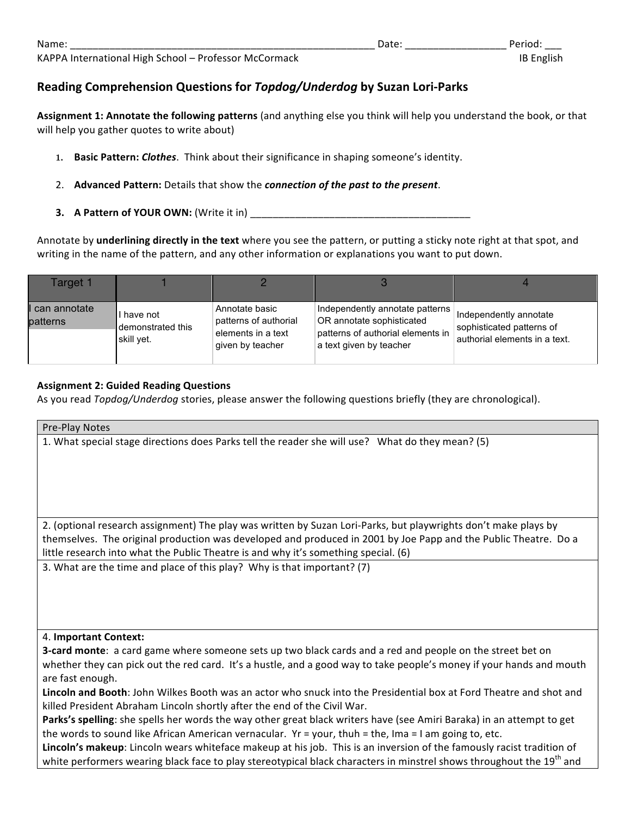## **Reading Comprehension Questions for** *Topdog/Underdog* **by Suzan Lori-Parks**

Assignment 1: Annotate the following patterns (and anything else you think will help you understand the book, or that will help you gather quotes to write about)

- 1. **Basic Pattern:** *Clothes*. Think about their significance in shaping someone's identity.
- 2. Advanced Pattern: Details that show the *connection of the past to the present*.
- **3. A** Pattern of YOUR OWN: (Write it in)

Annotate by underlining directly in the text where you see the pattern, or putting a sticky note right at that spot, and writing in the name of the pattern, and any other information or explanations you want to put down.

| Target 1                   |                                               |                                                                                   |                                                                                                                              |                                                                                      |
|----------------------------|-----------------------------------------------|-----------------------------------------------------------------------------------|------------------------------------------------------------------------------------------------------------------------------|--------------------------------------------------------------------------------------|
| I can annotate<br>patterns | have not<br>I demonstrated this<br>skill yet. | Annotate basic<br>patterns of authorial<br>elements in a text<br>given by teacher | Independently annotate patterns<br>OR annotate sophisticated<br>patterns of authorial elements in<br>a text given by teacher | Independently annotate<br>sophisticated patterns of<br>authorial elements in a text. |

## **Assignment 2: Guided Reading Questions**

As you read *Topdog/Underdog* stories, please answer the following questions briefly (they are chronological).

| Pre-Play Notes                                                                                                                                                                                                                                                                                                                                                                                       |
|------------------------------------------------------------------------------------------------------------------------------------------------------------------------------------------------------------------------------------------------------------------------------------------------------------------------------------------------------------------------------------------------------|
| 1. What special stage directions does Parks tell the reader she will use? What do they mean? (5)                                                                                                                                                                                                                                                                                                     |
| 2. (optional research assignment) The play was written by Suzan Lori-Parks, but playwrights don't make plays by<br>themselves. The original production was developed and produced in 2001 by Joe Papp and the Public Theatre. Do a<br>little research into what the Public Theatre is and why it's something special. (6)<br>3. What are the time and place of this play? Why is that important? (7) |
| 4. Important Context:<br>3-card monte: a card game where someone sets up two black cards and a red and people on the street bet on                                                                                                                                                                                                                                                                   |
| whether they can pick out the red card. It's a hustle, and a good way to take people's money if your hands and mouth<br>are fast enough.<br>Lincoln and Booth: John Wilkes Booth was an actor who snuck into the Presidential box at Ford Theatre and shot and                                                                                                                                       |
| killed President Abraham Lincoln shortly after the end of the Civil War.                                                                                                                                                                                                                                                                                                                             |
| Parks's spelling: she spells her words the way other great black writers have (see Amiri Baraka) in an attempt to get<br>the words to sound like African American vernacular. $Yr =$ your, thuh = the, Ima = I am going to, etc.                                                                                                                                                                     |
| Lincoln's makeup: Lincoln wears whiteface makeup at his job. This is an inversion of the famously racist tradition of<br>white performers wearing black face to play stereotypical black characters in minstrel shows throughout the 19 <sup>th</sup> and                                                                                                                                            |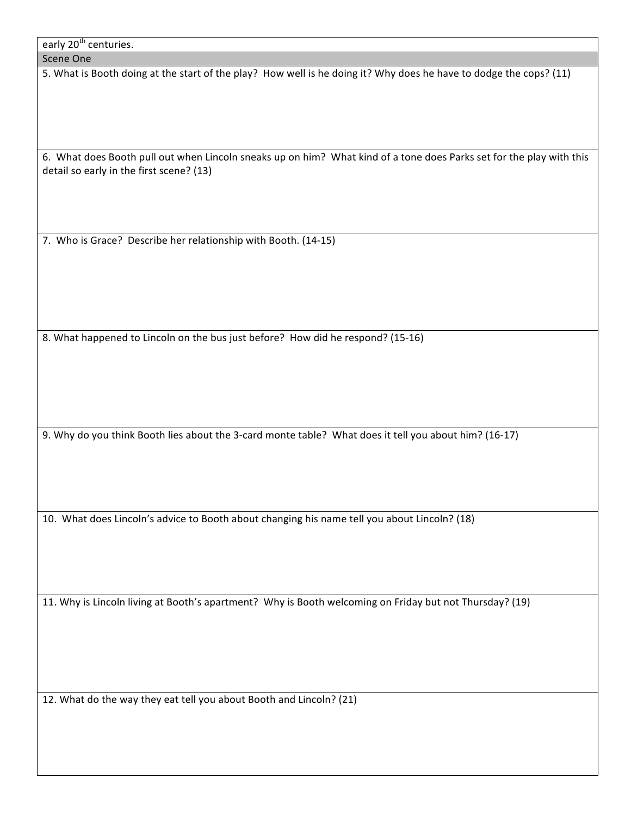| early 20 <sup>th</sup> centuries. |  |
|-----------------------------------|--|
|-----------------------------------|--|

| Scene One |
|-----------|
|-----------|

5. What is Booth doing at the start of the play? How well is he doing it? Why does he have to dodge the cops? (11)

6. What does Booth pull out when Lincoln sneaks up on him? What kind of a tone does Parks set for the play with this detail so early in the first scene? (13)

7. Who is Grace? Describe her relationship with Booth. (14-15)

8. What happened to Lincoln on the bus just before? How did he respond? (15-16)

9. Why do you think Booth lies about the 3-card monte table? What does it tell you about him? (16-17)

10. What does Lincoln's advice to Booth about changing his name tell you about Lincoln? (18)

11. Why is Lincoln living at Booth's apartment? Why is Booth welcoming on Friday but not Thursday? (19)

12. What do the way they eat tell you about Booth and Lincoln? (21)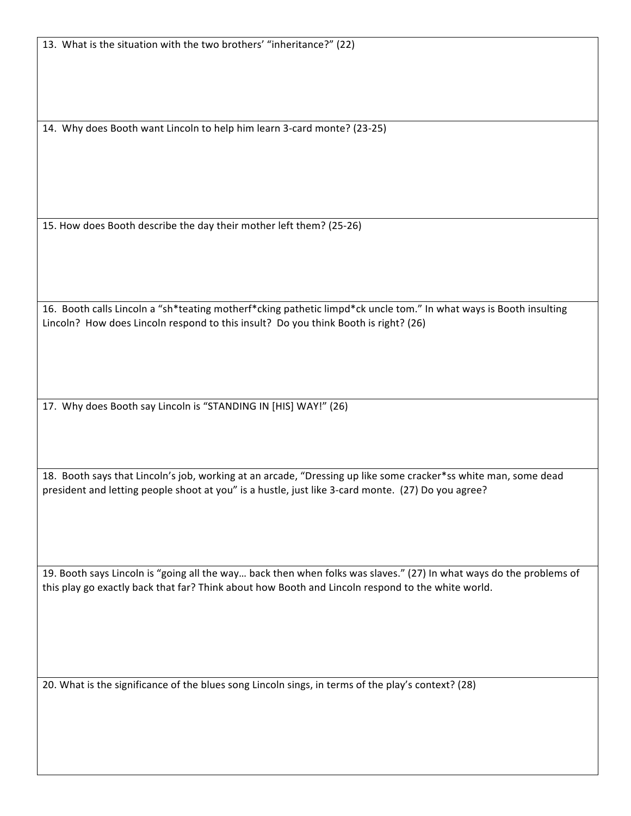13. What is the situation with the two brothers' "inheritance?" (22)

14. Why does Booth want Lincoln to help him learn 3-card monte? (23-25)

15. How does Booth describe the day their mother left them? (25-26)

16. Booth calls Lincoln a "sh\*teating motherf\*cking pathetic limpd\*ck uncle tom." In what ways is Booth insulting Lincoln? How does Lincoln respond to this insult? Do you think Booth is right? (26)

17. Why does Booth say Lincoln is "STANDING IN [HIS] WAY!" (26)

18. Booth says that Lincoln's job, working at an arcade, "Dressing up like some cracker\*ss white man, some dead president and letting people shoot at you" is a hustle, just like 3-card monte. (27) Do you agree?

19. Booth says Lincoln is "going all the way... back then when folks was slaves." (27) In what ways do the problems of this play go exactly back that far? Think about how Booth and Lincoln respond to the white world.

20. What is the significance of the blues song Lincoln sings, in terms of the play's context? (28)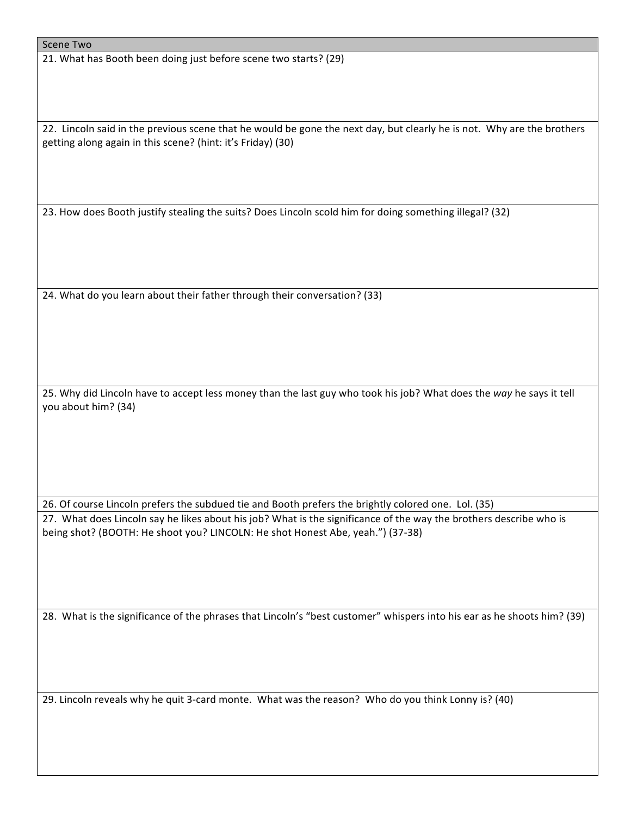21. What has Booth been doing just before scene two starts? (29)

22. Lincoln said in the previous scene that he would be gone the next day, but clearly he is not. Why are the brothers getting along again in this scene? (hint: it's Friday) (30)

23. How does Booth justify stealing the suits? Does Lincoln scold him for doing something illegal? (32)

24. What do you learn about their father through their conversation? (33)

25. Why did Lincoln have to accept less money than the last guy who took his job? What does the way he says it tell you about him? (34)

26. Of course Lincoln prefers the subdued tie and Booth prefers the brightly colored one. Lol. (35) 27. What does Lincoln say he likes about his job? What is the significance of the way the brothers describe who is being shot? (BOOTH: He shoot you? LINCOLN: He shot Honest Abe, yeah.") (37-38)

28. What is the significance of the phrases that Lincoln's "best customer" whispers into his ear as he shoots him? (39)

29. Lincoln reveals why he quit 3-card monte. What was the reason? Who do you think Lonny is? (40)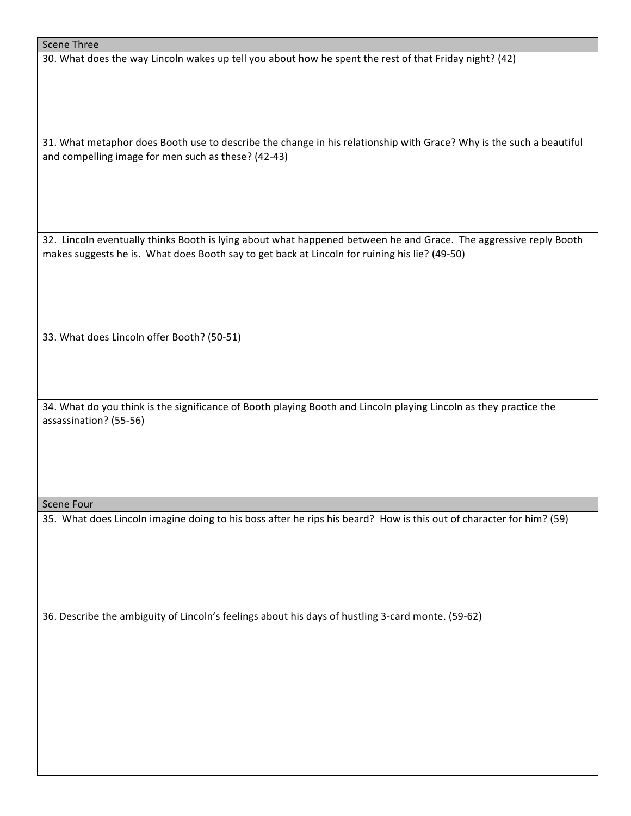## Scene Three

30. What does the way Lincoln wakes up tell you about how he spent the rest of that Friday night? (42)

31. What metaphor does Booth use to describe the change in his relationship with Grace? Why is the such a beautiful and compelling image for men such as these? (42-43)

32. Lincoln eventually thinks Booth is lying about what happened between he and Grace. The aggressive reply Booth makes suggests he is. What does Booth say to get back at Lincoln for ruining his lie? (49-50)

33. What does Lincoln offer Booth? (50-51)

34. What do you think is the significance of Booth playing Booth and Lincoln playing Lincoln as they practice the assassination? (55-56)

## Scene Four

35. What does Lincoln imagine doing to his boss after he rips his beard? How is this out of character for him? (59)

36. Describe the ambiguity of Lincoln's feelings about his days of hustling 3-card monte. (59-62)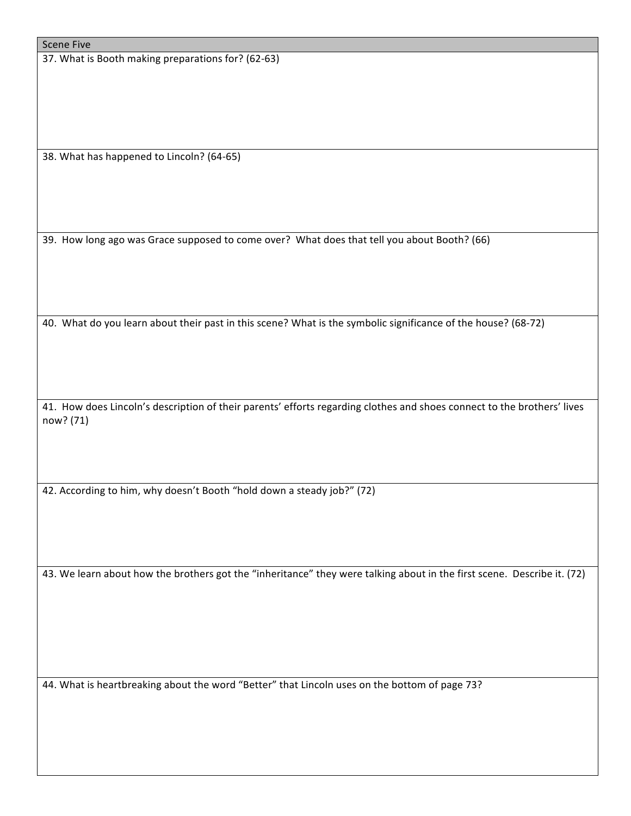37. What is Booth making preparations for? (62-63)

38. What has happened to Lincoln? (64-65)

39. How long ago was Grace supposed to come over? What does that tell you about Booth? (66)

40. What do you learn about their past in this scene? What is the symbolic significance of the house? (68-72)

41. How does Lincoln's description of their parents' efforts regarding clothes and shoes connect to the brothers' lives now? (71)

42. According to him, why doesn't Booth "hold down a steady job?" (72)

43. We learn about how the brothers got the "inheritance" they were talking about in the first scene. Describe it. (72)

44. What is heartbreaking about the word "Better" that Lincoln uses on the bottom of page 73?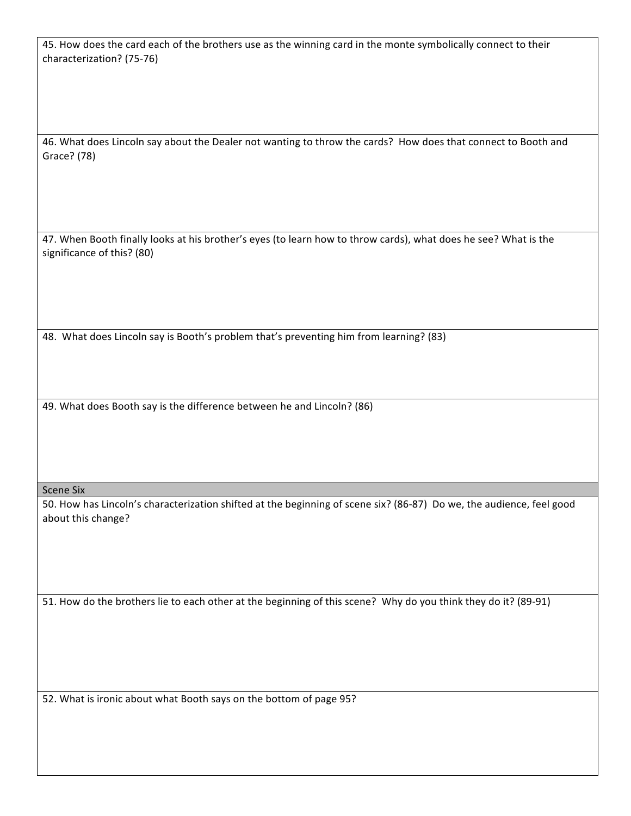45. How does the card each of the brothers use as the winning card in the monte symbolically connect to their characterization? (75-76)

46. What does Lincoln say about the Dealer not wanting to throw the cards? How does that connect to Booth and Grace? (78)

47. When Booth finally looks at his brother's eyes (to learn how to throw cards), what does he see? What is the significance of this? (80)

48. What does Lincoln say is Booth's problem that's preventing him from learning? (83)

49. What does Booth say is the difference between he and Lincoln? (86)

Scene Six

50. How has Lincoln's characterization shifted at the beginning of scene six? (86-87) Do we, the audience, feel good about this change?

51. How do the brothers lie to each other at the beginning of this scene? Why do you think they do it? (89-91)

52. What is ironic about what Booth says on the bottom of page 95?